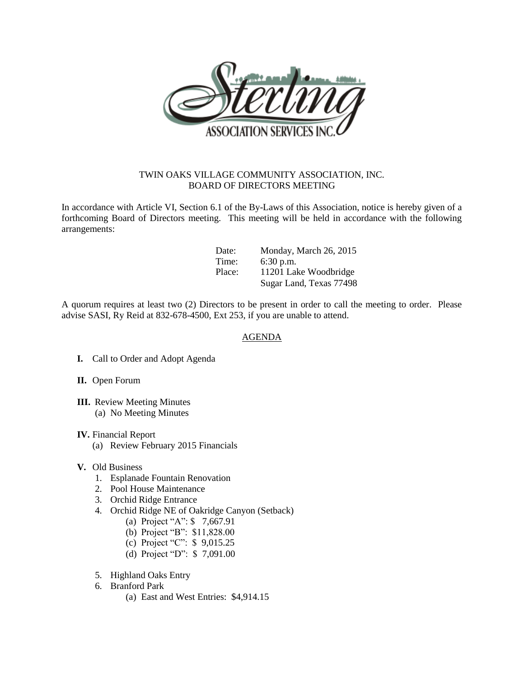

## TWIN OAKS VILLAGE COMMUNITY ASSOCIATION, INC. BOARD OF DIRECTORS MEETING

In accordance with Article VI, Section 6.1 of the By-Laws of this Association, notice is hereby given of a forthcoming Board of Directors meeting. This meeting will be held in accordance with the following arrangements:

| Date:  | Monday, March 26, 2015  |
|--------|-------------------------|
| Time:  | $6:30$ p.m.             |
| Place: | 11201 Lake Woodbridge   |
|        | Sugar Land, Texas 77498 |

A quorum requires at least two (2) Directors to be present in order to call the meeting to order. Please advise SASI, Ry Reid at 832-678-4500, Ext 253, if you are unable to attend.

## AGENDA

- **I.** Call to Order and Adopt Agenda
- **II.** Open Forum
- **III.** Review Meeting Minutes (a) No Meeting Minutes
- **IV.** Financial Report
	- (a) Review February 2015 Financials
- **V.** Old Business
	- 1. Esplanade Fountain Renovation
	- 2. Pool House Maintenance
	- 3. Orchid Ridge Entrance
	- 4. Orchid Ridge NE of Oakridge Canyon (Setback)
		- (a) Project "A": \$ 7,667.91
		- (b) Project "B": \$11,828.00
		- (c) Project "C": \$ 9,015.25
		- (d) Project "D": \$ 7,091.00
	- 5. Highland Oaks Entry
	- 6. Branford Park
		- (a) East and West Entries: \$4,914.15